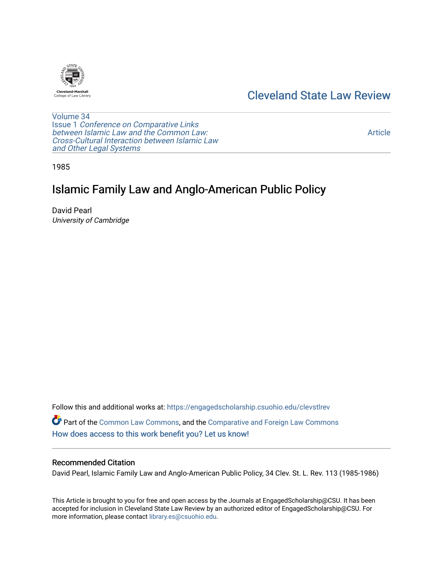

## [Cleveland State Law Review](https://engagedscholarship.csuohio.edu/clevstlrev)

[Volume 34](https://engagedscholarship.csuohio.edu/clevstlrev/vol34) Issue 1 [Conference on Comparative Links](https://engagedscholarship.csuohio.edu/clevstlrev/vol34/iss1) [between Islamic Law and the Common Law:](https://engagedscholarship.csuohio.edu/clevstlrev/vol34/iss1) [Cross-Cultural Interaction between Islamic Law](https://engagedscholarship.csuohio.edu/clevstlrev/vol34/iss1)  [and Other Legal Systems](https://engagedscholarship.csuohio.edu/clevstlrev/vol34/iss1) 

[Article](https://engagedscholarship.csuohio.edu/clevstlrev/vol34/iss1/11) 

1985

# Islamic Family Law and Anglo-American Public Policy

David Pearl University of Cambridge

Follow this and additional works at: [https://engagedscholarship.csuohio.edu/clevstlrev](https://engagedscholarship.csuohio.edu/clevstlrev?utm_source=engagedscholarship.csuohio.edu%2Fclevstlrev%2Fvol34%2Fiss1%2F11&utm_medium=PDF&utm_campaign=PDFCoverPages) Part of the [Common Law Commons,](http://network.bepress.com/hgg/discipline/1120?utm_source=engagedscholarship.csuohio.edu%2Fclevstlrev%2Fvol34%2Fiss1%2F11&utm_medium=PDF&utm_campaign=PDFCoverPages) and the [Comparative and Foreign Law Commons](http://network.bepress.com/hgg/discipline/836?utm_source=engagedscholarship.csuohio.edu%2Fclevstlrev%2Fvol34%2Fiss1%2F11&utm_medium=PDF&utm_campaign=PDFCoverPages) [How does access to this work benefit you? Let us know!](http://library.csuohio.edu/engaged/)

## Recommended Citation

David Pearl, Islamic Family Law and Anglo-American Public Policy, 34 Clev. St. L. Rev. 113 (1985-1986)

This Article is brought to you for free and open access by the Journals at EngagedScholarship@CSU. It has been accepted for inclusion in Cleveland State Law Review by an authorized editor of EngagedScholarship@CSU. For more information, please contact [library.es@csuohio.edu](mailto:library.es@csuohio.edu).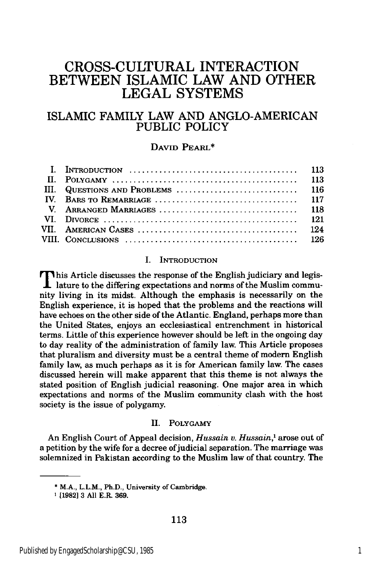## **CROSS-CULTURAL INTERACTION BETWEEN** ISLAMIC LAW **AND** OTHER **LEGAL SYSTEMS**

## ISLAMIC FAMILY LAW AND ANGLO-AMERICAN PUBLIC POLICY

### DAVID PEARL\*

| I. INTRODUCTION $\ldots \ldots \ldots \ldots \ldots \ldots \ldots \ldots \ldots \ldots \ldots \ldots \ldots$ 113 |  |
|------------------------------------------------------------------------------------------------------------------|--|
|                                                                                                                  |  |
|                                                                                                                  |  |
|                                                                                                                  |  |
|                                                                                                                  |  |
|                                                                                                                  |  |
|                                                                                                                  |  |
|                                                                                                                  |  |

#### I. **INTRODUCTION**

This Article discusses the response of the English judiciary and legis- $\mathbf 1$  lature to the differing expectations and norms of the Muslim community living in its midst. Although the emphasis is necessarily on the English experience, it is hoped that the problems and the reactions will have echoes on the other side of the Atlantic. England, perhaps more than the United States, enjoys an ecclesiastical entrenchment in historical terms. Little of this experience however should be left in the ongoing day to day reality of the administration of family law. This Article proposes that pluralism and diversity must be a central theme of modern English family law, as much perhaps as it is for American family law. The cases discussed herein will make apparent that this theme is not always the stated position of English judicial reasoning. One major area in which expectations and norms of the Muslim community clash with the host society is the issue of polygamy.

#### II. POLYGAMY

An English Court of Appeal decision, *Hussain v. Hussain,1* arose out of a petition **by** the wife for a decree ofjudicial separation. The marriage was solemnized in Pakistan according to the Muslim law of that country. The

**<sup>\*</sup> M.A., L.L.M.,** Ph.D., **University of Cambridge.**

**<sup>1</sup>[1982] 3 All E.R. 369.**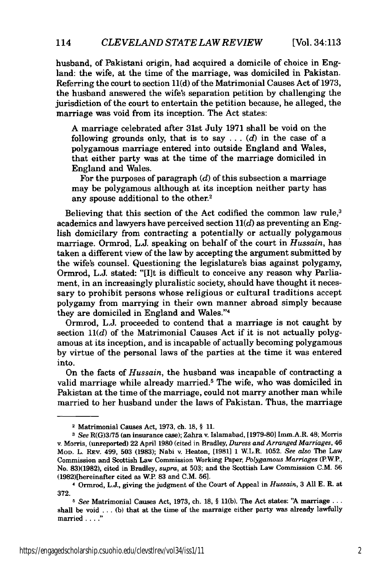[Vol. 34:113

husband, of Pakistani origin, had acquired a domicile of choice in England: the wife, at the time of the marriage, was domiciled in Pakistan. Referring the court to section **11(d)** of the Matrimonial Causes Act of 1973, the husband answered the wife's separation petition by challenging the jurisdiction of the court to entertain the petition because, he alleged, the marriage was void from its inception. The Act states:

A marriage celebrated after 31st July 1971 shall be void on the following grounds only, that is to say  $\ldots$  (d) in the case of a polygamous marriage entered into outside England and Wales, that either party was at the time of the marriage domiciled in England and Wales.

For the purposes of paragraph *(d)* of this subsection a marriage may be polygamous although at its inception neither party has any spouse additional to the other.2

Believing that this section of the Act codified the common law rule,<sup>3</sup> academics and lawyers have perceived section  $11(d)$  as preventing an English domicilary from contracting a potentially or actually polygamous marriage. Ormrod, L.J. speaking on behalf of the court in *Hussain,* has taken a different view of the law by accepting the argument submitted by the wife's counsel. Questioning the legislature's bias against polygamy, Ormrod, L.J. stated: "[I]t is difficult to conceive any reason why Parliament, in an increasingly pluralistic society, should have thought it necessary to prohibit persons whose religious or cultural traditions accept polygamy from marrying in their own manner abroad simply because they are domiciled in England and Wales."4

Ormrod, L.J. proceeded to contend that a marriage is not caught by section  $11(d)$  of the Matrimonial Causes Act if it is not actually polygamous at its inception, and is incapable of actually becoming polygamous by virtue of the personal laws of the parties at the time it was entered into.

On the facts of *Hussain,* the husband was incapable of contracting a valid marriage while already married.5 The wife, who was domiciled in Pakistan at the time of the marriage, could not marry another man while married to her husband under the laws of Pakistan. Thus, the marriage

<sup>2</sup>Matrimonial Causes Act, 1973, ch. 18, § **11.**

*<sup>3</sup> See* R(G)3/75 (an insurance case); Zahra v. Islamabad, [1979-801 Imm.A.R. 48; Morris v. Morris, (unreported) 22 April 1980 (cited in Bradley, *Duress and Arranged Marriages, 46* MOD. L. REv. 499, **503** (1983); Nabi v. Heaton, [1981] 1 W.L.R. 1052. *See also* The Law Commission and Scottish Law Commission Working Paper, *Polygamous Marriages* (PWP., No. 83)(1982), cited in Bradley, *supra,* at 503; and the Scottish Law Commission C.M. 56 (1982)[hereinafter cited as W.P. 83 and C.M. 56].

<sup>4</sup> Ormrod, L.J., giving the judgment of the Court of Appeal in *Hussain,* 3 All E. R. at 372.

**<sup>5</sup>** *See* Matrimonial Causes Act, 1973, ch. 18, § **11(b).** The Act states: "A marriage... shall be void  $\dots$  (b) that at the time of the marraige either party was already lawfully married . . . ."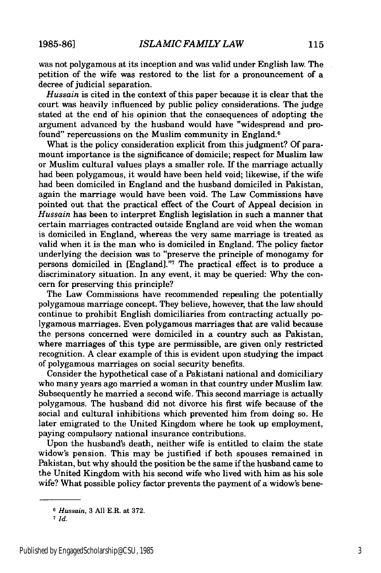was not polygamous at its inception and was valid under English law. The petition of the wife was restored to the list for a pronouncement of a decree of judicial separation.

*Hussain* is cited in the context of this paper because it is clear that the court was heavily influenced by public policy considerations. The judge stated at the end of his opinion that the consequences of adopting the argument advanced by the husband would have "widespread and profound" repercussions on the Muslim community in England.<sup>6</sup>

What is the policy consideration explicit from this judgment? Of paramount importance is the significance of domicile; respect for Muslim law or Muslim cultural values plays a smaller role. If the marriage actually had been polygamous, it would have been held void; likewise, if the wife had been domiciled in England and the husband domiciled in Pakistan, again the marriage would have been void. The Law Commissions have pointed out that the practical effect of the Court of Appeal decision in *Hussain* has been to interpret English legislation in such a manner that certain marriages contracted outside England are void when the woman is domiciled in England, whereas the very same marriage is treated as valid when it is the man who is domiciled in England. The policy factor underlying the decision was to "preserve the principle of monogamy for persons domiciled in [England]."7 The practical effect is to produce a discriminatory situation. In any event, it may be queried: Why the concern for preserving this principle?

The Law Commissions have recommended repealing the potentially polygamous marriage concept. They believe, however, that the law should continue to prohibit English domiciliaries from contracting actually polygamous marriages. Even polygamous marriages that are valid because the persons concerned were domiciled in a country such as Pakistan, where marriages of this type are permissible, are given only restricted recognition. A clear example of this is evident upon studying the impact of polygamous marriages on social security benefits.

Consider the hypothetical case of a Pakistani national and domiciliary who many years ago married a woman in that country under Muslim law. Subsequently he married a second wife. This second marriage is actually polygamous. The husband did not divorce his first wife because of the social and cultural inhibitions which prevented him from doing so. He later emigrated to the United Kingdom where he took up employment, paying compulsory national insurance contributions.

Upon the husband's death, neither wife is entitled to claim the state widow's pension. This may be justified if both spouses remained in Pakistan, but why should the position be the same if the husband came to the United Kingdom with his second wife who lived with him as his sole wife? What possible policy factor prevents the payment of a widow's bene-

*<sup>6</sup>Hussain,* 3 **All** E.R. at **372.**

**<sup>7</sup>** *Id.*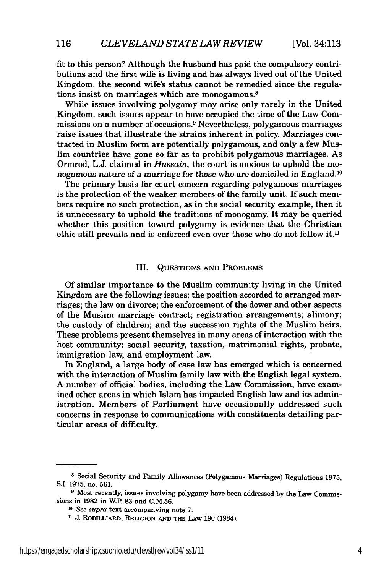[Vol. 34:113

fit to this person? Although the husband has paid the compulsory contributions and the first wife is living and has always lived out of the United Kingdom, the second wife's status cannot be remedied since the regulations insist on marriages which are monogamous.8

While issues involving polygamy may arise only rarely in the United Kingdom, such issues appear to have occupied the time of the Law Commissions on a number of occasions.9 Nevertheless, polygamous marriages raise issues that illustrate the strains inherent in policy. Marriages contracted in Muslim form are potentially polygamous, and only a few Muslim countries have gone so far as to prohibit polygamous marriages. As Ormrod, L.J. claimed in *Hussain,* the court is anxious to uphold the monogamous nature of a marriage for those who are domiciled in England. <sup>10</sup>

The primary basis for court concern regarding polygamous marriages is the protection of the weaker members of the family unit. If such members require no such protection, as in the social security example, then it is unnecessary to uphold the traditions of monogamy. It may be queried whether this position toward polygamy is evidence that the Christian ethic still prevails and is enforced even over those who do not follow it.<sup>11</sup>

#### III. QUESTIONS AND PROBLEMS

Of similar importance to the Muslim community living in the United Kingdom are the following issues: the position accorded to arranged marriages; the law on divorce; the enforcement of the dower and other aspects of the Muslim marriage contract; registration arrangements; alimony; the custody of children; and the succession rights of the Muslim heirs. These problems present themselves in many areas of interaction with the host community: social security, taxation, matrimonial rights, probate, immigration law, and employment law.

In England, a large body of case law has emerged which is concerned with the interaction of Muslim family law with the English legal system. A number of official bodies, including the Law Commission, have examined other areas in which Islam has impacted English law and its administration. Members of Parliament have occasionally addressed such concerns in response to communications with constituents detailing particular areas of difficulty.

**<sup>8</sup>** Social Security and Family Allowances (Polygamous Marriages) Regulations **1975, S.I.** 1975, no. 561.

**<sup>9</sup>** Most recently, issues involving polygamy have been addressed by the Law Commissions in 1982 in W.P. 83 and C.M.56.

**<sup>10</sup>***See supra* text accompanying note 7.

**J. RoBILIARD, RELIGION AND** THE LAW 190 (1984).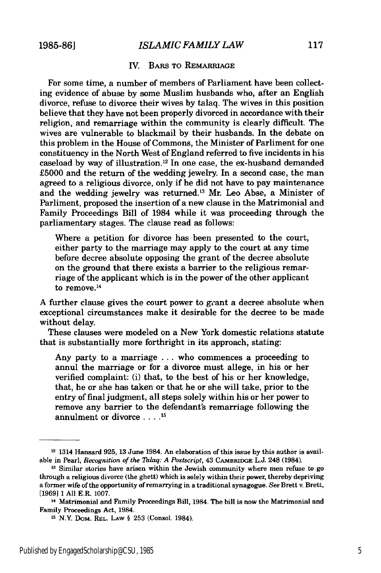#### IV. BARS TO **REMARRIAGE**

For some time, a number of members of Parliament have been collecting evidence of abuse by some Muslim husbands who, after an English divorce, refuse to divorce their wives by talaq. The wives in this position believe that they have not been properly divorced in accordance with their religion, and remarriage within the community is clearly difficult. The wives are vulnerable to blackmail by their husbands. In the debate on this problem in the House of Commons, the Minister of Parliment for one constituency in the North West of England referred to five incidents in his caseload by way of illustration.<sup>12</sup> In one case, the ex-husband demanded £5000 and the return of the wedding jewelry. In a second case, the man agreed to a religious divorce, only if he did not have to pay maintenance and the wedding jewelry was returned.<sup>13</sup> Mr. Leo Abse, a Minister of Parliment, proposed the insertion of a new clause in the Matrimonial and Family Proceedings Bill of 1984 while it was proceeding through the parliamentary stages. The clause read as follows:

Where a petition for divorce has been presented to the court, either party to the marriage may apply to the court at any time before decree absolute opposing the grant of the decree absolute on the ground that there exists a barrier to the religious remarriage of the applicant which is in the power of the other applicant to remove.<sup>14</sup>

A further clause gives the court power to grant a decree absolute when exceptional circumstances make it desirable for the decree to be made without delay.

These clauses were modeled on a New York domestic relations statute that is substantially more forthright in its approach, stating:

Any party to a marriage ... who commences a proceeding to annul the marriage or for a divorce must allege, in his or her verified complaint: (i) that, to the best of his or her knowledge, that, he or she has taken or that he or she will take, prior to the entry of final judgment, all steps solely within his or her power to remove any barrier to the defendant's remarriage following the annulment or divorce .... **<sup>15</sup>**

<sup>12 1314</sup> Hansard 925, **13** June 1984. An elaboration of this issue **by** this author is available in Pearl, *Recognition of the Talaq: A Postscript,* 43 **CAMBIUDGE** L.J. 248 (1984).

**<sup>13</sup>** Similar stories have arisen within the Jewish community where men refuse to go through a religious divorce (the ghett) which is solely within their power, thereby depriving a former wife of the opportunity of remarrying in a traditional synagogue. *See* Brett v. Brett, [1969] 1 All ER. 1007.

**<sup>14</sup>** Matrimonial and Family Proceedings Bill, 1984. The bill is now the Matrimonial and Family Proceedings Act, 1984.

**<sup>15</sup>** N.Y. DOm. REL. LAW § 253 (Consol. 1984).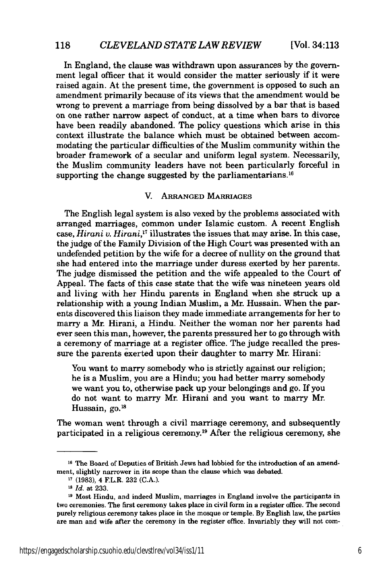In England, the clause was withdrawn upon assurances by the government legal officer that it would consider the matter seriously if it were raised again. At the present time, the government is opposed to such an amendment primarily because of its views that the amendment would be wrong to prevent a marriage from being dissolved by a bar that is based on one rather narrow aspect of conduct, at a time when bars to divorce have been readily abandoned. The policy questions which arise in this context illustrate the balance which must be obtained between accommodating the particular difficulties of the Muslim community within the broader framework of a secular and uniform legal system. Necessarily, the Muslim community leaders have not been particularly forceful in supporting the change suggested by the parliamentarians.<sup>16</sup>

#### V. ARRANGED MARRIAGES

The English legal system is also vexed by the problems associated with arranged marriages, common under Islamic custom. A recent English case, *Hirani v. Hirani,"1* illustrates the issues that may arise. In this case, the judge of the Family Division of the High Court was presented with an undefended petition by the wife for a decree of nullity on the ground that she had entered into the marriage under duress exerted by her parents. The judge dismissed the petition and the wife appealed to the Court of Appeal. The facts of this case state that the wife was nineteen years old and living with her Hindu parents in England when she struck up a relationship with a young Indian Muslim, a Mr. Hussain. When the parents discovered this liaison they made immediate arrangements for her to marry a Mr. Hirani, a Hindu. Neither the woman nor her parents had ever seen this man, however, the parents pressured her to go through with a ceremony of marriage at a register office. The judge recalled the pressure the parents exerted upon their daughter to marry Mr. Hirani:

You want to marry somebody who is strictly against our religion; he is a Muslim, you are a Hindu; you had better marry somebody we want you to, otherwise pack up your belongings and go. If you do not want to marry Mr. Hirani and you want to marry Mr. Hussain, go.<sup>18</sup>

The woman went through a civil marriage ceremony, and subsequently participated in a religious ceremony. 9 After the religious ceremony, she

**<sup>16</sup>** The Board of Deputies of British Jews had lobbied for the introduction of an amendment, slightly narrower in its scope than the clause which was debated.

**<sup>17</sup> (1983), 4** F.L.R. **232** (C.A.).

*Is Id.* at 233.

**<sup>19</sup>** Most Hindu, and indeed Muslim, marriages in England involve the participants in two ceremonies. The first ceremony takes place in civil form in a register office. The second purely religious ceremony takes place in the mosque or temple. By English law, the parties are man and wife after the ceremony in the register office. Invariably they will not com-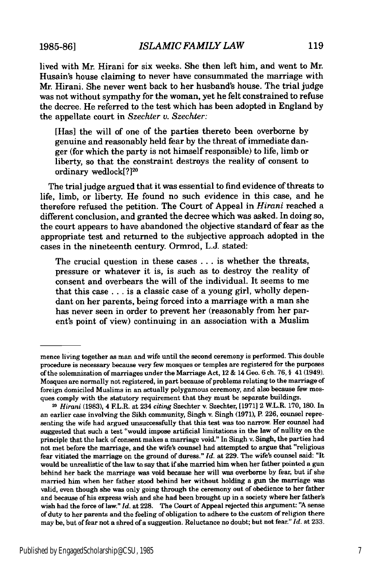**1985-86]**

119

lived with Mr. Hirani for six weeks. She then left him, and went to Mr. Husain's house claiming to never have consummated the marriage with Mr. Hirani. She never went back to her husband's house. The trial judge was not without sympathy for the woman, yet he felt constrained to refuse the decree. He referred to the test which has been adopted in England by the appellate court in *Szechter* **v.** *Szechter:*

[Has] the will of one of the parties thereto been overborne by genuine and reasonably held fear by the threat of immediate danger (for which the party is not himself responsible) to life, limb or liberty, so that the constraint destroys the reality of consent to ordinary wedlock<sup>[?]20</sup>

The trial judge argued that it was essential to find evidence of threats to life, limb, or liberty. He found no such evidence in this case, and he therefore refused the petition. The Court of Appeal in *Hirani* reached a different conclusion, and granted the decree which was asked. In doing so, the court appears to have abandoned the objective standard of fear as the appropriate test and returned to the subjective approach adopted in the cases in the nineteenth century. Ormrod, L.J. stated:

The crucial question in these cases ... is whether the threats, pressure or whatever it is, is such as to destroy the reality of consent and overbears the will of the individual. It seems to me that this case **...** is a classic case of a young girl, wholly dependant on her parents, being forced into a marriage with a man she has never seen in order to prevent her (reasonably from her parent's point of view) continuing in an association with a Muslim

mence living together as man and wife until the second ceremony is performed. This double procedure is necessary because very few mosques or temples are registered for the purposes of the solemnization of marriages under the Marriage Act, 12 **&** 14 Geo. **6** ch. **76,** § 41 (1949). Mosques are normally not registered, in part because of problems relating to the marriage of foreign domiciled Muslims in an actually polygamous ceremony, and also because few mosques comply with the statutory requirement that they must be separate buildings.

**<sup>20</sup>***Hirani* **(1983),** 4 F.L.R. at 234 *citing* Szechter **v.** Szechter, **[1971]** 2 W.L.R. **170, 180.** In an earlier case involving the Sikh community, Singh v. Singh **(1971),** P. **226,** counsel representing the wife had argued unsuccessfully that this test was too narrow. Her counsel had suggested that such a test "would impose artificial limitations in the law of nullity on the principle that the lack of consent makes a marriage void." In Singh v. Singh, the parties had not met before the marriage, and the wife's counsel had attempted to argue that "religious fear vitiated the marriage on the ground of duress." *Id.* at **229.** The wife's counsel said: "It would be unrealistic of the law to say that if she married him when her father pointed a gun behind her back the marriage was void because her will was overborne **by** fear, but if she married him when her father stood behind her without holding a gun the marriage was valid, even though she was only going through the ceremony out of obedience to her father and because of his express wish and she had been brought up in a society where her father's wish had the force of law." *Id.* at **228.** The Court of Appeal rejected this argument: **"A** sense of duty to her parents and the feeling of obligation to adhere to the custom of religion there may be, but of fear not a shred of a suggestion. Reluctance no doubt; but not fear." *Id.* at **233.**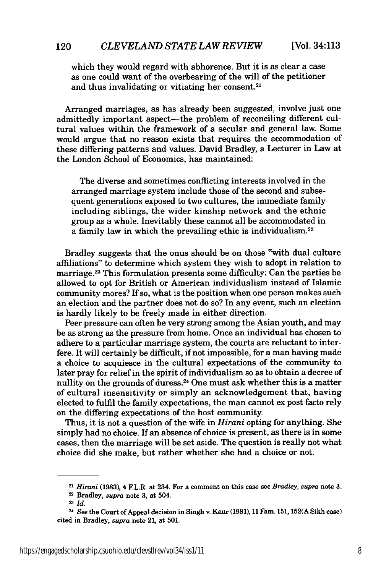which they would regard with abhorence. But it is as clear a case as one could want of the overbearing of the will of the petitioner and thus invalidating or vitiating her consent.<sup>21</sup>

Arranged marriages, as has already been suggested, involve just one admittedly important aspect-the problem of reconciling different cultural values within the framework of a secular and general law. Some would argue that no reason exists that requires the accommodation of these differing patterns and values. David Bradley, a Lecturer in Law at the London School of Economics, has maintained:

The diverse and sometimes conflicting interests involved in the arranged marriage system include those of the second and subsequent generations exposed to two cultures, the immediate family including siblings, the wider kinship network and the ethnic group as a whole. Inevitably these cannot all be accommodated in a family law in which the prevailing ethic is individualism.<sup>22</sup>

Bradley suggests that the onus should be on those "with dual culture affiliations" to determine which system they wish to adopt in relation to marriage.23 This formulation presents some difficulty: Can the parties be allowed to opt for British or American individualism instead of Islamic community mores? If so, what is the position when one person makes such an election and the partner does not do so? In any event, such an election is hardly likely to be freely made in either direction.

Peer pressure can often be very strong among the Asian youth, and may be as strong as the pressure from home. Once an individual has chosen to adhere to a particular marriage system, the courts are reluctant to interfere. It will certainly be difficult, if not impossible, for a man having made a choice to acquiesce in the cultural expectations of the community to later pray for relief in the spirit of individualism so as to obtain a decree of nullity on the grounds of duress.24 One must ask whether this is a matter of cultural insensitivity or simply an acknowledgement that, having elected to fulfil the family expectations, the man cannot ex post facto rely on the differing expectations of the host community.

Thus, it is not a question of the wife in *Hirani* opting for anything. She simply had no choice. If an absence of choice is present, as there is in some cases, then the marriage will be set aside. The question is really not what choice did she make, but rather whether she had a choice or not.

120

**<sup>21</sup>***Hirani* **(1983), 4** F.L.R. at 234. For a comment on this case see *Bradley, supra* note **3.**

<sup>2</sup> Bradley, *supra* note **3,** at 504.

**<sup>23</sup>** *Id.*

<sup>&</sup>lt;sup>24</sup> See the Court of Appeal decision in Singh v. Kaur (1981), 11 Fam. 151, 152(A Sikh case) cited in Bradley, *supra* note 21, at 501.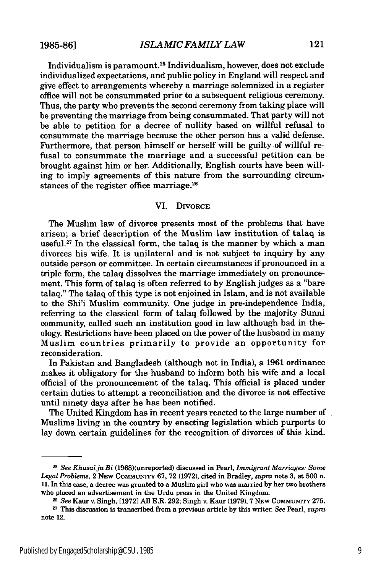Individualism is paramount. 25 Individualism, however, does not exclude individualized expectations, and public policy in England will respect and give effect to arrangements whereby a marriage solemnized in a register office will not be consummated prior to a subsequent religious ceremony. Thus, the party who prevents the second ceremony from taking place will be preventing the marriage from being consummated. That party will not be able to petition for a decree of nullity based on willful refusal to consummate the marriage because the other person has a valid defense. Furthermore, that person himself or herself will be guilty-of willful refusal to consummate the marriage and a successful petition can be brought against him or her. Additionally, English courts have been willing to imply agreements of this nature from the surrounding circumstances of the register office marriage. <sup>26</sup>

#### VI. DIVORCE

The Muslim law of divorce presents most of the problems that have arisen; a brief description of the Muslim law institution of talaq is useful.<sup>27</sup> In the classical form, the talaq is the manner by which a man divorces his wife. It is unilateral and is not subject to inquiry by any outside person or committee. In certain circumstances if pronounced in a triple form, the talaq dissolves the marriage immediately on pronouncement. This form of talaq is often referred to by English judges as a "bare talaq." The talaq of this type is not enjoined in Islam, and is not available to the Shi'i Muslim community. One judge in pre-independence India, referring to the classical form of talaq followed by the majority Sunni community, called such an institution good in law although bad in theology. Restrictions have been placed on the power of the husband in many Muslim countries primarily to provide an opportunity for reconsideration.

In Pakistan and Bangladesh (although not in India), a 1961 ordinance makes it obligatory for the husband to inform both his wife and a local official of the pronouncement of the talaq. This official is placed under certain duties to attempt a reconciliation and the divorce is not effective until ninety days after he has been notified.

The United Kingdom has in recent years reacted to the large number of Muslims living in the country by enacting legislation which purports to lay down certain guidelines for the recognition of divorces of this kind.

<sup>2</sup>*See Khusai ja Bi* (1968)(unreported) discussed in Pearl, *Immigrant Marriages: Some Legal Problems,* 2 **NEW COMMUNrrY** 67, 72 (1972), cited in Bradley, *supra* note 3, at 500 n. 11. In this case, a decree was granted to a Muslim girl who was married by her two brothers who placed an advertisement in the Urdu press in the United Kingdom.

<sup>2</sup> *See* Kaur v. Singh, [1972] All E.R. 292; Singh v. Kaur (1979),7 NEw **COMMUNITY** 275.

**<sup>27</sup>** This discussion is transcribed from a previous article by this writer. *See* Pearl, *supra* note 12.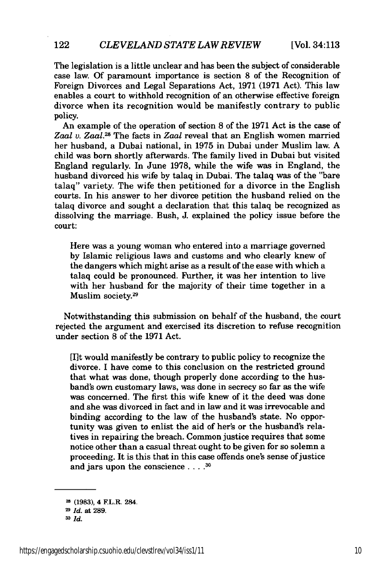The legislation is a little unclear and has been the subject of considerable case law. Of paramount importance is section 8 of the Recognition of Foreign Divorces and Legal Separations Act, 1971 (1971 Act). This law enables a court to withhold recognition of an otherwise effective foreign divorce when its recognition would be manifestly contrary to public policy.

An example of the operation of section 8 of the 1971 Act is the case of *Zaal v.* Zaal.28 The facts in *Zaal* reveal that an English women married her husband, a Dubai national, in 1975 in Dubai under Muslim law. A child was born shortly afterwards. The family lived in Dubai but visited England regularly. In June 1978, while the wife was in England, the husband divorced his wife by talaq in Dubai. The talaq was of the "bare talaq" variety. The wife then petitioned for a divorce in the English courts. In his answer to her divorce petition the husband relied on the talaq divorce and sought a declaration that this talaq be recognized as dissolving the marriage. Bush, J. explained the policy issue before the court:

Here was a young woman who entered into a marriage governed by Islamic religious laws and customs and who clearly knew of the dangers which might arise as a result of the ease with which a talaq could be pronounced. Further, it was her intention to live with her husband for the majority of their time together in a Muslim society.<sup>29</sup>

Notwithstanding this submission on behalf of the husband, the court rejected the argument and exercised its discretion to refuse recognition under section 8 of the 1971 Act.

[I]t would manifestly be contrary to public policy to recognize the divorce. I have come to this conclusion on the restricted ground that what was done, though properly done according to the husband's own customary laws, was done in secrecy so far as the wife was concerned. The first this wife knew of it the deed was done and she was divorced in fact and in law and it was irrevocable and binding according to the law of the husband's state. No opportunity was given to enlist the aid of her's or the husband's relatives in repairing the breach. Common justice requires that some notice other than a casual threat ought to be given for so solemn a proceeding. It is this that in this case offends one's sense of justice and jars upon the conscience **.... 30**

122

**<sup>-</sup>** (1983), 4 F.L.R. 284.

<sup>2</sup> *Id.* at **289.**

**<sup>3</sup>D** *Id.*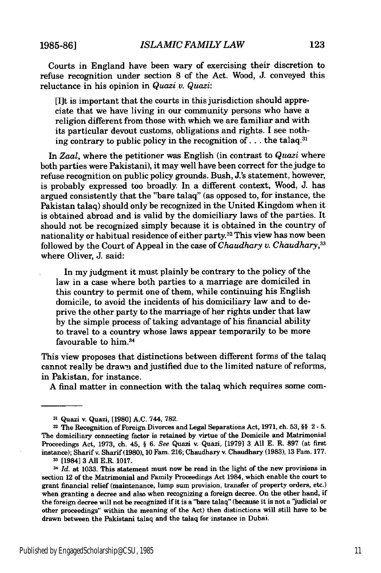**1985-86]**

Courts in England have been wary of exercising their discretion to refuse recognition under section 8 of the Act. Wood, **J.** conveyed this reluctance in his opinion in *Quazi v. Quazi:*

[I]t is important that the courts in this jurisdiction should appreciate that we have living in our community persons who have a religion different from those with which we are familiar and with its particular devout customs, obligations and rights. I see nothing contrary to public policy in the recognition of... the talaq.<sup>31</sup>

In *Zaal,* where the petitioner was English (in contrast to *Quazi* where both parties were Pakistani), it may well have been correct for the judge to refuse recognition on public policy grounds. Bush, J.'s statement, however, is probably expressed too broadly In a different context, Wood, J. has argued consistently that the "bare talaq" (as opposed to, for instance, the Pakistan talaq) should only be recognized in the United Kingdom when it is obtained abroad and is valid by the domiciliary laws of the parties. It should not be recognized simply because it is obtained in the country of nationality or habitual residence of either party.32 This view has now been followed by the Court of Appeal in the case of *Chaudhary v. Chaudhary,33* where Oliver, J. said:

In my judgment it must plainly be contrary to the policy of the law in a case where both parties to a marriage are domiciled in this country to permit one of them, while continuing his English domicile, to avoid the incidents of his domiciliary law and to deprive the other party to the marriage of her rights under that law by the simple process of taking advantage of his financial ability to travel to a country whose laws appear temporarily to be more favourable to him.3

This view proposes that distinctions between different forms of the talaq cannot really be drawn and justified due to the limited nature of reforms, in Pakistan, for instance.

A final matter in connection with the talaq which requires some com-

**<sup>31</sup>** Quazi v. Quazi, [1980] **A.C.** 744, **782.**

**<sup>32</sup>**The Recognition of Foreign Divorces and Legal Separations Act, **1971,** ch. **53, §§** 2 **-**5. The domiciliary connecting factor is retained **by** virtue of the Domicile and Matrimonial Proceedings Act, **1973,** ch. 45, § *6. See* Quazi v. Quazi, **[1979] 3 All E.** R. **897** (at first instance); Sharif **v.** Sharif **(1980), 10** Fam. **216;** Chaudhary v. Chaudhary **(1983), 13** Fain. **177. 3** [1984] **3 All** E.R. **1017.**

*Id.* at **1033.** This statement must now be read in the light of the new provisions in section 12 of the Matrimonial and Family Proceedings Act 1984, which enable the court to grant financial relief (maintenance, lump sum provision, transfer of property orders, etc.) when granting a decree and also when recognizing a foreign decree. On the other hand, if the foreign decree will not be recognized if it is a "bare talaq" (because it is not a 'Judicial or other proceedings" within the meaning of the Act) then distinctions will still have to be **drawn** between the Pakistani talaq and the talaq for instance in Dubai.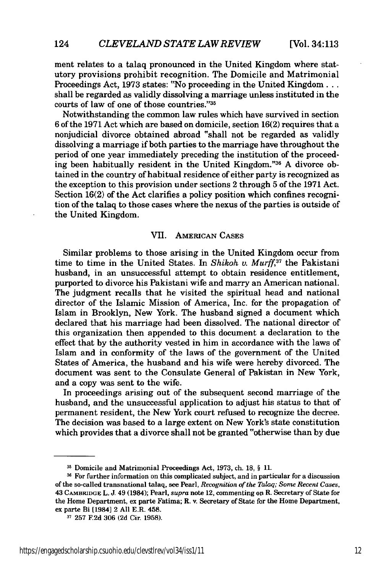124

ment relates to a talaq pronounced in the United Kingdom where statutory provisions prohibit recognition. The Domicile and Matrimonial Proceedings Act, 1973 states: "No proceeding in the United Kingdom... shall be regarded as validly dissolving a marriage unless instituted in the courts of law of one of those countries."35

Notwithstanding the common law rules which have survived in section 6 of the 1971 Act which are based on domicile, section 16(2) requires that a nonjudicial divorce obtained abroad "shall not be regarded as validly dissolving a marriage if both parties to the marriage have throughout the period of one year immediately preceding the institution of the proceeding been habitually resident in the United Kingdom."36 A divorce obtained in the country of habitual residence of either party is recognized as the exception to this provision under sections 2 through 5 of the 1971 Act. Section 16(2) of the Act clarifies a policy position which confines recognition of the talaq to those cases where the nexus of the parties is outside of the United Kingdom.

#### VII. AMERICAN CASES

Similar problems to those arising in the United Kingdom occur from time to time in the United States. In *Shikoh v. Murff*,<sup>37</sup> the Pakistani husband, in an unsuccessful attempt to obtain residence entitlement, purported to divorce his Pakistani wife and marry an American national. The judgment recalls that he visited the spiritual head and national director of the Islamic Mission of America, Inc. for the propagation of Islam in Brooklyn, New York. The husband signed a document which declared that his marriage had been dissolved. The national director of this organization then appended to this document a declaration to the effect that by the authority vested in him in accordance with the laws of Islam and in conformity of the laws of the government of the United States of America, the husband and his wife were hereby divorced. The document was sent to the Consulate General of Pakistan in New York, and a copy was sent to the wife.

In proceedings arising out of the subsequent second marriage of the husband, and the unsuccessful application to adjust his status to that of permanent resident, the New York court refused to recognize the decree. The decision was based to a large extent on New York's state constitution which provides that a divorce shall not be granted "otherwise than by due

**<sup>3</sup>** Domicile and Matrimonial Proceedings Act, 1973, ch. 18, § 11.

**<sup>16</sup>** For further information on this complicated subject, and in particular for a discussion of the so-called transnational talaq, see Pearl, *Recognition of the Talaq; Some Recent Cases,* 43 CAMBRIDGE L. J. 49 (1984); Pearl, *supra* note 12, commenting on R. Secretary of State for the Home Department, ex parte Fatima; R. v. Secretary of State for the Home Department, ex parte Bi [1984] 2 All E.R. 458.

**<sup>37</sup>** 257 **F2d** 306 **(2d** Cir. **1958).**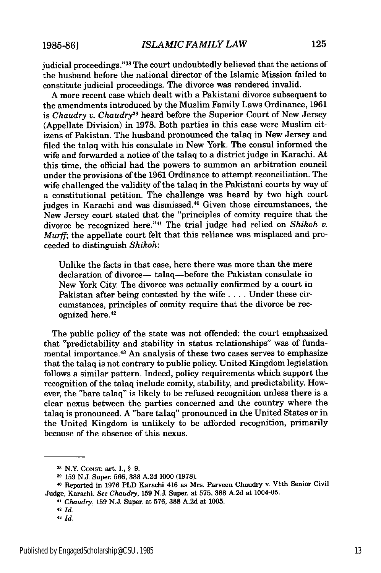judicial proceedings."38 The court undoubtedly believed that the actions of the husband before the national director of the Islamic Mission failed to constitute judicial proceedings. The divorce was rendered invalid.

A more recent case which dealt with a Pakistani divorce subsequent to the amendments introduced by the Muslim Family Laws Ordinance, 1961 is *Chaudry* **v.** *Chaudry"* heard before the Superior Court of New Jersey (Appellate Division) in 1978. Both parties in this case were Muslim citizens of Pakistan. The husband pronounced the talaq in New Jersey and filed the talaq with his consulate in New York. The consul informed the wife and forwarded a notice of the talaq to a district judge in Karachi. At this time, the official had the powers to summon an arbitration council under the provisions of the 1961 Ordinance to attempt reconciliation. The wife challenged the validity of the talaq in the Pakistani courts by way of a constitutional petition. The challenge was heard by two high court judges in Karachi and was dismissed.<sup>40</sup> Given those circumstances, the New Jersey court stated that the "principles of comity require that the divorce be recognized here. '41 The trial judge had relied on *Shikoh v. Murff;* the appellate court felt that this reliance was misplaced and proceeded to distinguish *Shikoh:*

Unlike the facts in that case, here there was more than the mere declaration of divorce- talaq-before the Pakistan consulate in New York City. The divorce was actually confirmed by a court in Pakistan after being contested by the wife **....** Under these circumstances, principles of comity require that the divorce be recognized here.<sup>42</sup>

The public policy of the state was not offended: the court emphasized that "predictability and stability in status relationships" was of fundamental importance. 43 An analysis of these two cases serves to emphasize that the talaq is not contrary to public policy. United Kingdom legislation follows a similar pattern. Indeed, policy requirements which support the recognition of the talaq include comity, stability, and predictability. However, the "bare talaq" is likely to be refused recognition unless there is a clear nexus between the parties concerned and the country where the talaq is pronounced. A "bare talaq" pronounced in the United States or in the United Kingdom is unlikely to be afforded recognition, primarily because of the absence of this nexus.

**<sup>3</sup>**N.Y. CONST. art. I., § 9.

**<sup>39</sup>** 159 N.J. Super. 566, 388 A.2d 1000 (1978).

<sup>40</sup> Reported in 1976 PLD Karachi 416 as Mrs. Parveen Chaudry v. Vith Senior Civil Judge, Karachi. *See Chaudry,* 159 N.J. Super. at 575, 388 A.2d at 1004-05.

<sup>41</sup>*Chaudry,* 159 N.J. Super. at 576, 388 A.2d at 1005.

**<sup>42</sup>***Id.*

**<sup>43</sup>** *Id.*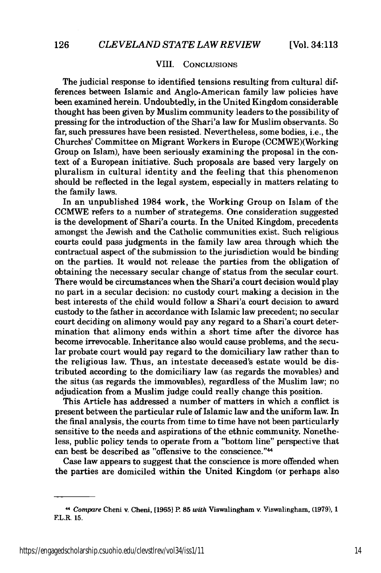#### VIII. CONCLUSIONS

The judicial response to identified tensions resulting from cultural differences between Islamic and Anglo-American family law policies have been examined herein. Undoubtedly, in the United Kingdom considerable thought has been given by Muslim community leaders to the possibility of pressing for the introduction of the Shari'a law for Muslim observants. So far, such pressures have been resisted. Nevertheless, some bodies, i.e., the Churches' Committee on Migrant Workers in Europe (CCMWE)(Working Group on Islam), have been seriously examining the proposal in the context of a European initiative. Such proposals are based very largely on pluralism in cultural identity and the feeling that this phenomenon should be reflected in the legal system, especially in matters relating to the family laws.

In an unpublished 1984 work, the Working Group on Islam of the CCMWE refers to a number of strategems. One consideration suggested is the development of Shari'a courts. In the United Kingdom, precedents amongst the Jewish and the Catholic communities exist. Such religious courts could pass judgments in the family law area through which the contractual aspect of the submission to the jurisdiction would be binding on the parties. It would not release the parties from the obligation of obtaining the necessary secular change of status from the secular court. There would be circumstances when the Shari'a court decision would play no part in a secular decision: no custody court making a decision in the best interests of the child would follow a Shari'a court decision to award custody to the father in accordance with Islamic law precedent; no secular court deciding on alimony would pay any regard to a Shari'a court determination that alimony ends within a short time after the divorce has become irrevocable. Inheritance also would cause problems, and the secular probate court would pay regard to the domiciliary law rather than to the religious law. Thus, an intestate deceased's estate would be distributed according to the domiciliary law (as regards the movables) and the situs (as regards the immovables), regardless of the Muslim law; no adjudication from a Muslim judge could really change this position.

This Article has addressed a number of matters in which a conflict is present between the particular rule of Islamic law and the uniform law. In the final analysis, the courts from time to time have not been particularly sensitive to the needs and aspirations of the ethnic community. Nonetheless, public policy tends to operate from a "bottom line" perspective that can best be described as "offensive to the conscience."<sup>44</sup>

Case law appears to suggest that the conscience is more offended when the parties are domiciled within the United Kingdom (or perhaps also

<sup>44</sup> *Compare* Cheni v. Cheni, **[1965]** P. 85 *with* Viswalingham v. Viswalingham, **(1979),** 1 F.L.R. 15.